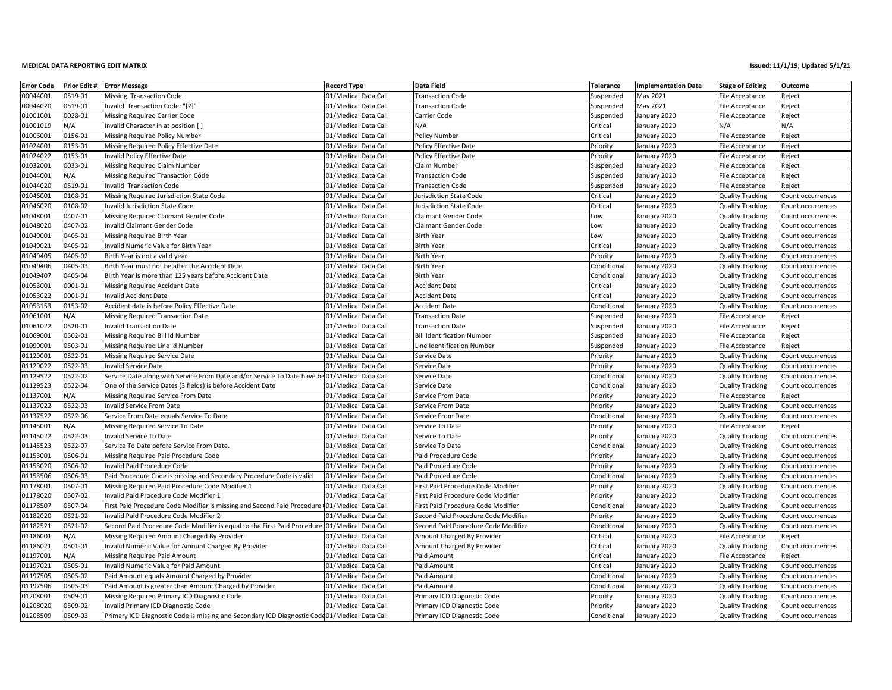## **MEDICAL DATA REPORTING**

| <b>Error Code</b>    | Prior Edit # | <b>Error Message</b>                                                                          | <b>Record Type</b>                           | Data Field                                                 | <b>Tolerance</b>     | <b>Implementation Date</b>   | <b>Stage of Editing</b>                            | Outcome                                |
|----------------------|--------------|-----------------------------------------------------------------------------------------------|----------------------------------------------|------------------------------------------------------------|----------------------|------------------------------|----------------------------------------------------|----------------------------------------|
| 00044001             | 0519-01      | Missing Transaction Code                                                                      | 01/Medical Data Call                         | <b>Transaction Code</b>                                    | Suspended            | May 2021                     | File Acceptance                                    | Reject                                 |
| 00044020             | 0519-01      | Invalid Transaction Code: "[2]"                                                               | 01/Medical Data Call                         | <b>Transaction Code</b>                                    | Suspended            | May 2021                     | File Acceptance                                    | Reject                                 |
| 01001001             | 0028-01      | Missing Required Carrier Code                                                                 | 01/Medical Data Call                         | Carrier Code                                               | Suspended            | January 2020                 | File Acceptance                                    | Reject                                 |
| 01001019             | N/A          | Invalid Character in at position [                                                            | 01/Medical Data Call                         | N/A                                                        | Critical             | January 2020                 | N/A                                                | N/A                                    |
| 01006001             | 0156-01      | Missing Required Policy Number                                                                | 01/Medical Data Call                         | Policy Number                                              | Critical             | January 2020                 | File Acceptance                                    | Reject                                 |
| 01024001             | 0153-01      | Missing Required Policy Effective Date                                                        | 01/Medical Data Call                         | Policy Effective Date                                      | Priority             | January 2020                 | File Acceptance                                    | Reject                                 |
| 01024022             | 0153-01      | <b>Invalid Policy Effective Date</b>                                                          | 01/Medical Data Call                         | Policy Effective Date                                      | Priority             | January 2020                 | File Acceptance                                    | Reject                                 |
| 01032001             | 0033-01      | Missing Required Claim Number                                                                 | 01/Medical Data Call                         | Claim Number                                               | Suspended            | January 2020                 | File Acceptance                                    | Reject                                 |
| 01044001             | N/A          | Missing Required Transaction Code                                                             | 01/Medical Data Call                         | <b>Transaction Code</b>                                    | Suspended            | January 2020                 | File Acceptance                                    | Reject                                 |
| 01044020             | 0519-01      | Invalid Transaction Code                                                                      | 01/Medical Data Call                         | <b>Transaction Code</b>                                    | Suspended            | January 2020                 | File Acceptance                                    | Reject                                 |
| 01046001             | 0108-01      | Missing Required Jurisdiction State Code                                                      | 01/Medical Data Call                         | Jurisdiction State Code                                    | Critical             | January 2020                 | <b>Quality Tracking</b>                            | Count occurrences                      |
| 01046020             | 0108-02      | <b>Invalid Jurisdiction State Code</b>                                                        | 01/Medical Data Call                         | Jurisdiction State Code                                    | Critical             | January 2020                 | <b>Quality Tracking</b>                            | Count occurrences                      |
| 01048001             | 0407-01      | Missing Required Claimant Gender Code                                                         | 01/Medical Data Call                         | <b>Claimant Gender Code</b>                                | Low                  | January 2020                 | <b>Quality Tracking</b>                            | Count occurrences                      |
| 01048020             | 0407-02      | Invalid Claimant Gender Code                                                                  | 01/Medical Data Call                         | Claimant Gender Code                                       | Low                  | January 2020                 | <b>Quality Tracking</b>                            | Count occurrences                      |
| 01049001             | 0405-01      | Missing Required Birth Year                                                                   | 01/Medical Data Call                         | <b>Birth Year</b>                                          | Low                  | January 2020                 | <b>Quality Tracking</b>                            | Count occurrences                      |
| 01049021             | 0405-02      | Invalid Numeric Value for Birth Year                                                          | 01/Medical Data Call                         | <b>Birth Year</b>                                          | Critical             | January 2020                 | <b>Quality Tracking</b>                            | Count occurrences                      |
| 01049405             | 0405-02      | Birth Year is not a valid year                                                                | 01/Medical Data Call                         | <b>Birth Year</b>                                          | Priority             | January 2020                 | <b>Quality Tracking</b>                            | Count occurrences                      |
| 01049406             | 0405-03      | Birth Year must not be after the Accident Date                                                | 01/Medical Data Call                         | <b>Birth Year</b>                                          | Conditional          | January 2020                 | <b>Quality Tracking</b>                            | Count occurrences                      |
| 01049407             | 0405-04      | Birth Year is more than 125 years before Accident Date                                        | 01/Medical Data Call                         | <b>Birth Year</b>                                          | Conditional          | January 2020                 | <b>Quality Tracking</b>                            | Count occurrences                      |
| 01053001             | 0001-01      | Missing Required Accident Date                                                                | 01/Medical Data Call                         | <b>Accident Date</b>                                       | Critical             | anuary 2020                  | Quality Tracking                                   | Count occurrences                      |
| 01053022             | 0001-01      | <b>Invalid Accident Date</b>                                                                  | 01/Medical Data Call                         | Accident Date                                              | Critical             | January 2020                 | <b>Quality Tracking</b>                            | Count occurrences                      |
| 01053153             | 0153-02      | Accident date is before Policy Effective Date                                                 | 01/Medical Data Call                         | <b>Accident Date</b>                                       | Conditional          | January 2020                 | <b>Quality Tracking</b>                            | Count occurrences                      |
| 01061001             | N/A          | Missing Required Transaction Date                                                             | 01/Medical Data Call                         | <b>Transaction Date</b>                                    | Suspended            | January 2020                 | File Acceptance                                    |                                        |
| 01061022             | 0520-01      | <b>Invalid Transaction Date</b>                                                               | 01/Medical Data Call                         | Transaction Date                                           | Suspended            | January 2020                 | File Acceptance                                    | Reject<br>Reject                       |
| 01069001             | 0502-01      | Missing Required Bill Id Number                                                               | 01/Medical Data Call                         | <b>Bill Identification Number</b>                          | Suspended            | January 2020                 | <b>File Acceptance</b>                             | Reject                                 |
| 01099001             | 0503-01      | Missing Required Line Id Number                                                               | 01/Medical Data Call                         | Line Identification Number                                 | Suspended            | January 2020                 |                                                    | Reject                                 |
| 01129001             | 0522-01      | Missing Required Service Date                                                                 | 01/Medical Data Call                         | Service Date                                               | Priority             | January 2020                 | File Acceptance<br><b>Quality Tracking</b>         | Count occurrences                      |
| 01129022             | 0522-03      | Invalid Service Date                                                                          | 01/Medical Data Call                         | Service Date                                               | Priority             | January 2020                 | <b>Quality Tracking</b>                            | Count occurrences                      |
| 01129522             | 0522-02      | Service Date along with Service From Date and/or Service To Date have be01/Medical Data Call  |                                              |                                                            | Conditional          | January 2020                 |                                                    |                                        |
| 01129523             | 0522-04      | One of the Service Dates (3 fields) is before Accident Date                                   | 01/Medical Data Call                         | Service Date<br>Service Date                               | Conditional          | January 2020                 | <b>Quality Tracking</b><br><b>Quality Tracking</b> | Count occurrences<br>Count occurrences |
| 01137001             | N/A          |                                                                                               | 01/Medical Data Call                         | Service From Date                                          | Priority             | January 2020                 |                                                    |                                        |
| 01137022             | 0522-03      | Missing Required Service From Date<br>Invalid Service From Date                               | 01/Medical Data Call                         | Service From Date                                          | Priority             | January 2020                 | File Acceptance<br><b>Quality Tracking</b>         | Reject<br>Count occurrences            |
| 01137522             | 0522-06      | Service From Date equals Service To Date                                                      | 01/Medical Data Call                         | Service From Date                                          | Conditional          | January 2020                 | <b>Quality Tracking</b>                            | Count occurrences                      |
| 01145001             | N/A          | Missing Required Service To Date                                                              | 01/Medical Data Call                         | Service To Date                                            | Priority             | January 2020                 | File Acceptance                                    | Reject                                 |
| 01145022             | 0522-03      | Invalid Service To Date                                                                       | 01/Medical Data Call                         | Service To Date                                            | Priority             | January 2020                 | <b>Quality Tracking</b>                            | Count occurrences                      |
| 01145523             | 0522-07      | Service To Date before Service From Date.                                                     | 01/Medical Data Call                         | Service To Date                                            | Conditional          | January 2020                 | <b>Quality Tracking</b>                            | Count occurrences                      |
| 01153001             | 0506-01      | Missing Required Paid Procedure Code                                                          | 01/Medical Data Call                         | Paid Procedure Code                                        | Priority             | January 2020                 | <b>Quality Tracking</b>                            | Count occurrences                      |
| 01153020             | 0506-02      | Invalid Paid Procedure Code                                                                   | 01/Medical Data Call                         | Paid Procedure Code                                        | Priority             | January 2020                 | <b>Quality Tracking</b>                            | Count occurrences                      |
| 01153506             | 0506-03      | Paid Procedure Code is missing and Secondary Procedure Code is valid                          | 01/Medical Data Call                         | Paid Procedure Code                                        | Conditional          | January 2020                 | <b>Quality Tracking</b>                            | Count occurrences                      |
| 01178001             | 0507-01      | Missing Required Paid Procedure Code Modifier 1                                               | 01/Medical Data Call                         | First Paid Procedure Code Modifier                         | Priority             | January 2020                 | <b>Quality Tracking</b>                            | Count occurrences                      |
| 01178020             | 0507-02      | Invalid Paid Procedure Code Modifier 1                                                        | 01/Medical Data Call                         | First Paid Procedure Code Modifier                         | Priority             | January 2020                 | <b>Quality Tracking</b>                            | Count occurrences                      |
| 01178507             | 0507-04      | First Paid Procedure Code Modifier is missing and Second Paid Procedure (01/Medical Data Call |                                              | First Paid Procedure Code Modifier                         | Conditional          | January 2020                 | <b>Quality Tracking</b>                            | Count occurrences                      |
| 01182020             | 0521-02      | Invalid Paid Procedure Code Modifier 2                                                        | 01/Medical Data Call                         | Second Paid Procedure Code Modifier                        | Priority             | January 2020                 | <b>Quality Tracking</b>                            | Count occurrences                      |
| 01182521             | 0521-02      | Second Paid Procedure Code Modifier is equal to the First Paid Procedure                      | 01/Medical Data Call                         | Second Paid Procedure Code Modifier                        | Conditional          | January 2020                 | <b>Quality Tracking</b>                            | Count occurrences                      |
| 01186001             | N/A          | Missing Required Amount Charged By Provider                                                   | 01/Medical Data Call                         | Amount Charged By Provider                                 | Critical             | January 2020                 | File Acceptance                                    | Reject                                 |
| 01186021             | 0501-01      | Invalid Numeric Value for Amount Charged By Provider                                          | 01/Medical Data Call                         | Amount Charged By Provider                                 | Critical             | January 2020                 | <b>Quality Tracking</b>                            | Count occurrences                      |
| 01197001             | N/A          | Missing Required Paid Amount                                                                  | 01/Medical Data Call                         | Paid Amount                                                | Critical             | January 2020                 | File Acceptance                                    |                                        |
| 01197021             | 0505-01      | Invalid Numeric Value for Paid Amount                                                         | 01/Medical Data Call                         | Paid Amount                                                | Critical             | January 2020                 | <b>Quality Tracking</b>                            | Reject                                 |
| 01197505             | 0505-02      |                                                                                               | 01/Medical Data Call                         | Paid Amount                                                | Conditional          | January 2020                 |                                                    | Count occurrences                      |
|                      | 0505-03      | Paid Amount equals Amount Charged by Provider                                                 |                                              |                                                            |                      |                              | <b>Quality Tracking</b>                            | Count occurrences                      |
| 01197506<br>01208001 | 0509-01      | Paid Amount is greater than Amount Charged by Provider                                        | 01/Medical Data Call                         | Paid Amount                                                | Conditional          | January 2020                 | <b>Quality Tracking</b>                            | Count occurrences                      |
| 01208020             | 0509-02      | Missing Required Primary ICD Diagnostic Code<br>Invalid Primary ICD Diagnostic Code           | 01/Medical Data Call<br>01/Medical Data Call | Primary ICD Diagnostic Code<br>Primary ICD Diagnostic Code | Priority<br>Priority | January 2020<br>January 2020 | <b>Quality Tracking</b>                            | Count occurrences<br>Count occurrences |
| 01208509             | 0509-03      |                                                                                               |                                              | Primary ICD Diagnostic Code                                |                      |                              | <b>Quality Tracking</b>                            |                                        |
|                      |              | Primary ICD Diagnostic Code is missing and Secondary ICD Diagnostic Code01/Medical Data Call  |                                              |                                                            | Conditional          | January 2020                 | <b>Quality Tracking</b>                            | Count occurrences                      |